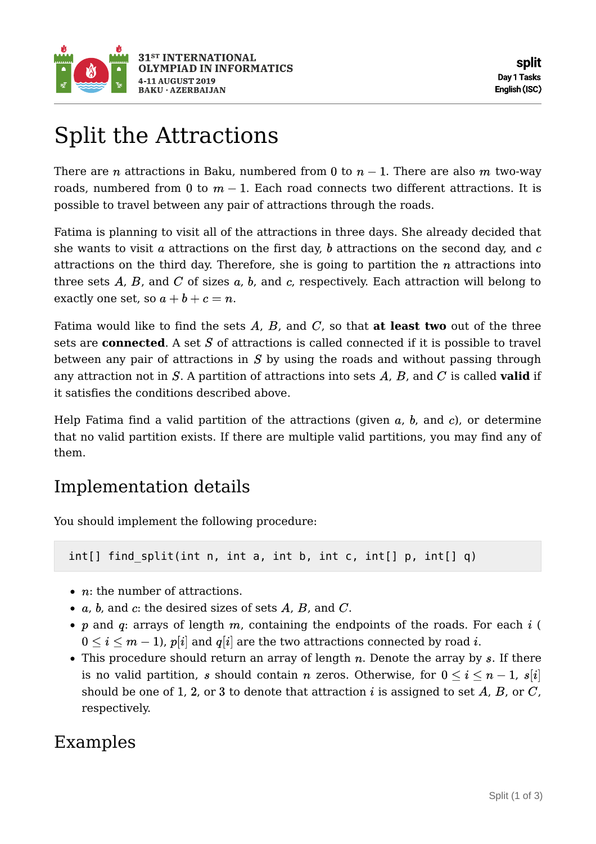

# Split the Attractions

There are n attractions in Baku, numbered from 0 to  $n-1$ . There are also m two-way roads, numbered from 0 to  $m-1$ . Each road connects two different attractions. It is possible to travel between any pair of attractions through the roads.

Fatima is planning to visit all of the attractions in three days. She already decided that she wants to visit  $a$  attractions on the first day,  $b$  attractions on the second day, and  $c$ attractions on the third day. Therefore, she is going to partition the  $n$  attractions into three sets  $A$ ,  $B$ , and  $C$  of sizes  $a$ ,  $b$ , and  $c$ , respectively. Each attraction will belong to exactly one set, so  $a + b + c = n$ .

Fatima would like to find the sets  $A$ ,  $B$ , and  $C$ , so that **at least two** out of the three sets are **connected**. A set  $S$  of attractions is called connected if it is possible to travel between any pair of attractions in  $S$  by using the roads and without passing through any attraction not in S. A partition of attractions into sets  $A$ ,  $B$ , and  $C$  is called **valid** if it satisfies the conditions described above.

Help Fatima find a valid partition of the attractions (given  $a$ ,  $b$ , and  $c$ ), or determine that no valid partition exists. If there are multiple valid partitions, you may find any of them.

### Implementation details

You should implement the following procedure:

int[] find split(int n, int a, int b, int c, int[]  $p$ , int[] q)

- $\bullet$  *n*: the number of attractions.
- *a, b,* and *c*: the desired sizes of sets  $A$ ,  $B$ , and  $C$ .
- p and q: arrays of length  $m$ , containing the endpoints of the roads. For each  $i$  (  $0 \leq i \leq m-1$ ,  $p[i]$  and  $q[i]$  are the two attractions connected by road i.
- This procedure should return an array of length  $n$ . Denote the array by  $s$ . If there is no valid partition, s should contain n zeros. Otherwise, for  $0 \le i \le n-1$ ,  $s[i]$ should be one of 1, 2, or 3 to denote that attraction i is assigned to set A, B, or C, respectively.

### Examples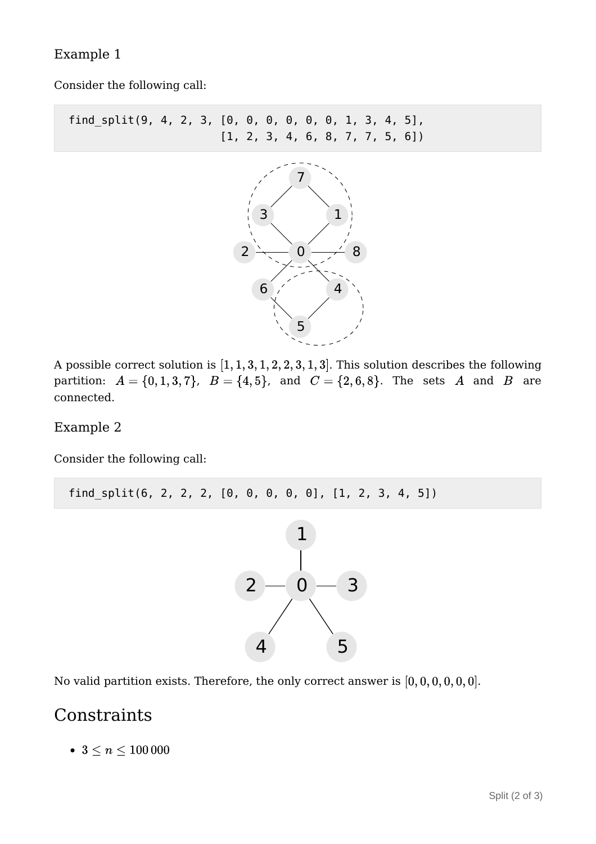#### Example 1

Consider the following call:

find\_split(9, 4, 2, 3, [0, 0, 0, 0, 0, 0, 1, 3, 4, 5], [1, 2, 3, 4, 6, 8, 7, 7, 5, 6])



A possible correct solution is  $[1, 1, 3, 1, 2, 2, 3, 1, 3]$ . This solution describes the following partition:  $A = \{0, 1, 3, 7\}$ ,  $B = \{4, 5\}$ , and  $C = \{2, 6, 8\}$ . The sets A and B are connected.

#### Example 2

Consider the following call:

find\_split(6, 2, 2, 2, [0, 0, 0, 0, 0], [1, 2, 3, 4, 5])



No valid partition exists. Therefore, the only correct answer is  $[0, 0, 0, 0, 0, 0]$ .

### **Constraints**

 $\bullet$  3  $\leq n \leq 100000$